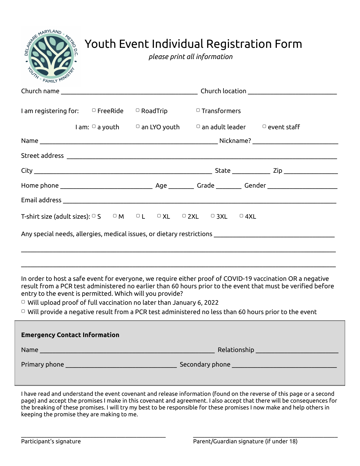| AND MARYLAND<br>MEINDOCT<br><b>Youth Event Individual Registration Form</b><br>please print all information<br><b>FAMILY MINIS</b>                                                                                                                                                                                                                                                                                                                                                                                          |  |                                                                                      |  |
|-----------------------------------------------------------------------------------------------------------------------------------------------------------------------------------------------------------------------------------------------------------------------------------------------------------------------------------------------------------------------------------------------------------------------------------------------------------------------------------------------------------------------------|--|--------------------------------------------------------------------------------------|--|
|                                                                                                                                                                                                                                                                                                                                                                                                                                                                                                                             |  |                                                                                      |  |
| I am registering for: $\Box$ FreeRide $\Box$ RoadTrip $\Box$ Transformers                                                                                                                                                                                                                                                                                                                                                                                                                                                   |  |                                                                                      |  |
|                                                                                                                                                                                                                                                                                                                                                                                                                                                                                                                             |  | $I$ am: $\Box$ a youth $\Box$ an LYO youth $\Box$ an adult leader $\Box$ event staff |  |
|                                                                                                                                                                                                                                                                                                                                                                                                                                                                                                                             |  |                                                                                      |  |
|                                                                                                                                                                                                                                                                                                                                                                                                                                                                                                                             |  |                                                                                      |  |
|                                                                                                                                                                                                                                                                                                                                                                                                                                                                                                                             |  |                                                                                      |  |
|                                                                                                                                                                                                                                                                                                                                                                                                                                                                                                                             |  |                                                                                      |  |
| T-shirt size (adult sizes): $\circ$ S $\circ$ M $\circ$ L $\circ$ XL $\circ$ 2XL $\circ$ 3XL $\circ$ 4XL                                                                                                                                                                                                                                                                                                                                                                                                                    |  |                                                                                      |  |
|                                                                                                                                                                                                                                                                                                                                                                                                                                                                                                                             |  |                                                                                      |  |
| In order to host a safe event for everyone, we require either proof of COVID-19 vaccination OR a negative<br>result from a PCR test administered no earlier than 60 hours prior to the event that must be verified before<br>entry to the event is permitted. Which will you provide?<br>$\overline{O}$ Will upload proof of full vaccination no later than January 6, 2022<br>$\textcircled{\scriptsize{\textsf{u}}}$ Will provide a negative result from a PCR test administered no less than 60 hours prior to the event |  |                                                                                      |  |
| <b>Emergency Contact Information</b>                                                                                                                                                                                                                                                                                                                                                                                                                                                                                        |  |                                                                                      |  |
|                                                                                                                                                                                                                                                                                                                                                                                                                                                                                                                             |  |                                                                                      |  |
|                                                                                                                                                                                                                                                                                                                                                                                                                                                                                                                             |  |                                                                                      |  |
| I have read and understand the event covenant and release information (found on the reverse of this page or a second<br>accel and accept the acceptional make in this coverage and acceptance I also accept that these will be es                                                                                                                                                                                                                                                                                           |  |                                                                                      |  |

page) and accept the promises I make in this covenant and agreement. I also accept that there will be consequences for the breaking of these promises. I will try my best to be responsible for these promises I now make and help others in keeping the promise they are making to me.

\_\_\_\_\_\_\_\_\_\_\_\_\_\_\_\_\_\_\_\_\_\_\_\_\_\_\_\_\_\_\_\_\_\_\_\_\_\_\_\_\_\_\_\_\_\_\_\_\_\_ \_\_\_\_\_\_\_\_\_\_\_\_\_\_\_\_\_\_\_\_\_\_\_\_\_\_\_\_\_\_\_\_\_\_\_\_\_\_\_\_\_\_\_\_\_\_\_\_\_\_